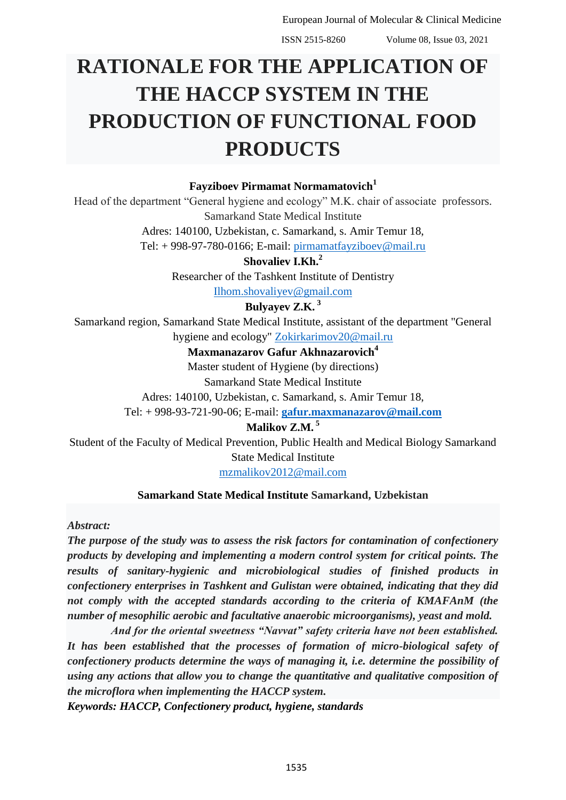ISSN 2515-8260 Volume 08, Issue 03, 2021

# **RATIONALE FOR THE APPLICATION OF THE HACCP SYSTEM IN THE PRODUCTION OF FUNCTIONAL FOOD PRODUCTS**

## **Fayziboev Pirmamat Normamatovich<sup>1</sup>**

Head of the department "General hygiene and ecology" M.K. chair of associate professors. Samarkand State Medical Institute

> Adres: 140100, Uzbekistan, c. Samarkand, s. Amir Temur 18, Tel: + 998-97-780-0166; E-mail: [pirmamatfayziboev@mail.ru](https://e.mail.ru/compose/?mailto=mailto%3apirmamatfayziboev@mail.ru)

> > **Shovaliev I.Kh.<sup>2</sup>**

Researcher of the Tashkent Institute of Dentistry

[Ilhom.shovaliyev@gmail.com](mailto:Ilhom.shovaliyev@gmail.com)

**Bulyayev Z.K. <sup>3</sup>**

Samarkand region, Samarkand State Medical Institute, assistant of the department "General hygiene and ecology" [Zokirkarimov20@mail.ru](mailto:Zokirkarimov20@mail.ru)

#### **Maxmanazarov Gafur Akhnazarovich<sup>4</sup>**

Master student of Hygiene (by directions) Samarkand State Medical Institute

Adres: 140100, Uzbekistan, c. Samarkand, s. Amir Temur 18,

Tel: + 998-93-721-90-06; E-mail: **[gafur.maxmanazarov@mail.com](mailto:gafur.maxmanazarov@mail.com)**

**Malikov Z.M. <sup>5</sup>**

Student of the Faculty of Medical Prevention, Public Health and Medical Biology Samarkand State Medical Institute [mzmalikov2012@mail.com](mailto:mzmalikov2012@mail.com)

#### **Samarkand State Medical Institute Samarkand, Uzbekistan**

*Abstract:*

*The purpose of the study was to assess the risk factors for contamination of confectionery products by developing and implementing a modern control system for critical points. The results of sanitary-hygienic and microbiological studies of finished products in confectionery enterprises in Tashkent and Gulistan were obtained, indicating that they did not comply with the accepted standards according to the criteria of KMAFAnM (the number of mesophilic aerobic and facultative anaerobic microorganisms), yeast and mold.*

*And for the oriental sweetness "Navvat" safety criteria have not been established. It has been established that the processes of formation of micro-biological safety of confectionery products determine the ways of managing it, i.e. determine the possibility of using any actions that allow you to change the quantitative and qualitative composition of the microflora when implementing the HACCP system.*

*Keywords: HACCP, Confectionery product, hygiene, standards*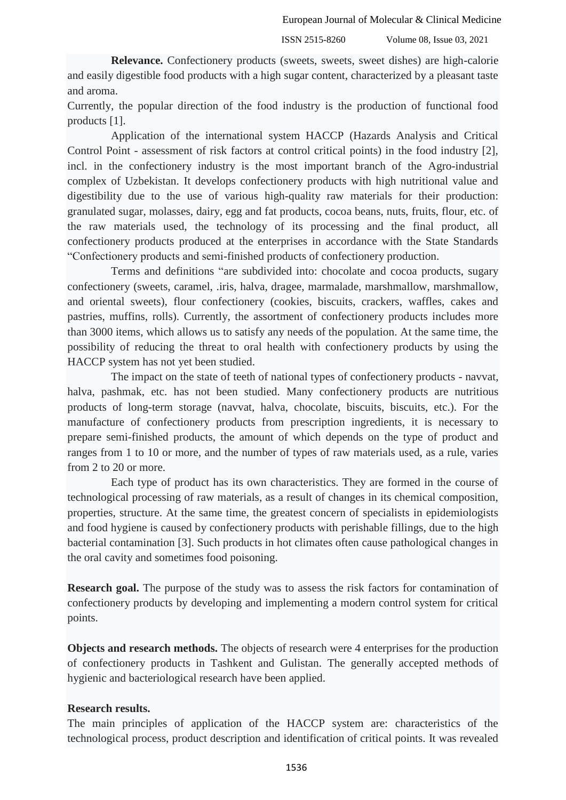ISSN 2515-8260 Volume 08, Issue 03, 2021

**Relevance.** Confectionery products (sweets, sweets, sweet dishes) are high-calorie and easily digestible food products with a high sugar content, characterized by a pleasant taste and aroma.

Currently, the popular direction of the food industry is the production of functional food products [1].

Application of the international system HACCP (Hazards Analysis and Critical Control Point - assessment of risk factors at control critical points) in the food industry [2], incl. in the confectionery industry is the most important branch of the Agro-industrial complex of Uzbekistan. It develops confectionery products with high nutritional value and digestibility due to the use of various high-quality raw materials for their production: granulated sugar, molasses, dairy, egg and fat products, cocoa beans, nuts, fruits, flour, etc. of the raw materials used, the technology of its processing and the final product, all confectionery products produced at the enterprises in accordance with the State Standards "Confectionery products and semi-finished products of confectionery production.

Terms and definitions "are subdivided into: chocolate and cocoa products, sugary confectionery (sweets, caramel, .iris, halva, dragee, marmalade, marshmallow, marshmallow, and oriental sweets), flour confectionery (cookies, biscuits, crackers, waffles, cakes and pastries, muffins, rolls). Currently, the assortment of confectionery products includes more than 3000 items, which allows us to satisfy any needs of the population. At the same time, the possibility of reducing the threat to oral health with confectionery products by using the HACCP system has not yet been studied.

The impact on the state of teeth of national types of confectionery products - navvat, halva, pashmak, etc. has not been studied. Many confectionery products are nutritious products of long-term storage (navvat, halva, chocolate, biscuits, biscuits, etc.). For the manufacture of confectionery products from prescription ingredients, it is necessary to prepare semi-finished products, the amount of which depends on the type of product and ranges from 1 to 10 or more, and the number of types of raw materials used, as a rule, varies from 2 to 20 or more.

Each type of product has its own characteristics. They are formed in the course of technological processing of raw materials, as a result of changes in its chemical composition, properties, structure. At the same time, the greatest concern of specialists in epidemiologists and food hygiene is caused by confectionery products with perishable fillings, due to the high bacterial contamination [3]. Such products in hot climates often cause pathological changes in the oral cavity and sometimes food poisoning.

**Research goal.** The purpose of the study was to assess the risk factors for contamination of confectionery products by developing and implementing a modern control system for critical points.

**Objects and research methods.** The objects of research were 4 enterprises for the production of confectionery products in Tashkent and Gulistan. The generally accepted methods of hygienic and bacteriological research have been applied.

### **Research results.**

The main principles of application of the HACCP system are: characteristics of the technological process, product description and identification of critical points. It was revealed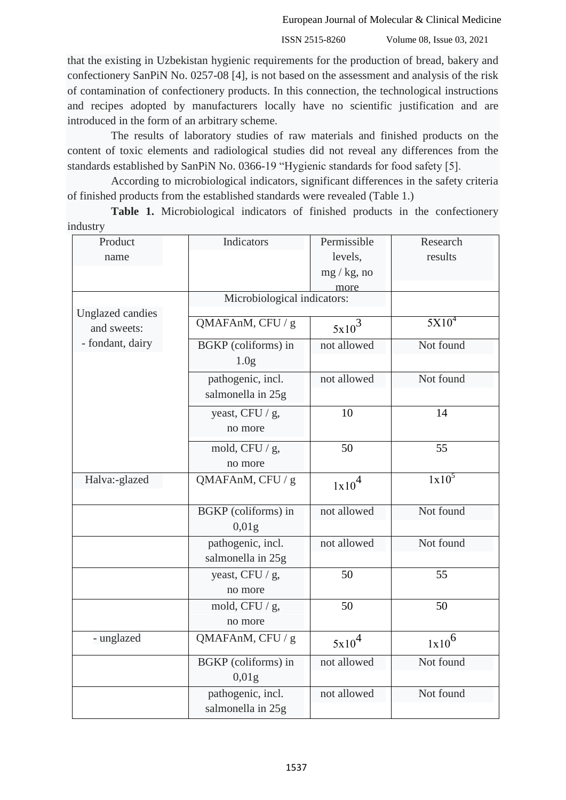ISSN 2515-8260 Volume 08, Issue 03, 2021

that the existing in Uzbekistan hygienic requirements for the production of bread, bakery and confectionery SanPiN No. 0257-08 [4], is not based on the assessment and analysis of the risk of contamination of confectionery products. In this connection, the technological instructions and recipes adopted by manufacturers locally have no scientific justification and are introduced in the form of an arbitrary scheme.

The results of laboratory studies of raw materials and finished products on the content of toxic elements and radiological studies did not reveal any differences from the standards established by SanPiN No. 0366-19 "Hygienic standards for food safety [5].

According to microbiological indicators, significant differences in the safety criteria of finished products from the established standards were revealed (Table 1.)

**Table 1.** Microbiological indicators of finished products in the confectionery industry

| Product                                                    | Indicators                               | Permissible       | Research          |
|------------------------------------------------------------|------------------------------------------|-------------------|-------------------|
| name                                                       |                                          | levels,           | results           |
|                                                            |                                          | $mg / kg$ , no    |                   |
|                                                            |                                          | more              |                   |
|                                                            | Microbiological indicators:              |                   |                   |
| <b>Unglazed candies</b><br>and sweets:<br>- fondant, dairy | QMAFAnM, CFU / g                         | $5x10^3$          | 5X10 <sup>4</sup> |
|                                                            | BGKP (coliforms) in<br>1.0 <sub>g</sub>  | not allowed       | Not found         |
|                                                            | pathogenic, incl.<br>salmonella in 25g   | not allowed       | Not found         |
|                                                            | yeast, CFU / g,<br>no more               | 10                | 14                |
|                                                            | mold, CFU $/$ g,<br>no more              | 50                | 55                |
| Halva:-glazed                                              | QMAFAnM, CFU / g                         | 1x10 <sup>4</sup> | $1x10^5$          |
|                                                            | BGKP (coliforms) in<br>0.01 <sub>g</sub> | not allowed       | Not found         |
|                                                            | pathogenic, incl.<br>salmonella in 25g   | not allowed       | Not found         |
|                                                            | yeast, CFU / g,<br>no more               | 50                | 55                |
|                                                            | mold, CFU $/$ g,<br>no more              | 50                | 50                |
| - unglazed                                                 | QMAFAnM, CFU / g                         | $5x10^4$          | $1x10^6$          |
|                                                            | BGKP (coliforms) in<br>0,01g             | not allowed       | Not found         |
|                                                            | pathogenic, incl.<br>salmonella in 25g   | not allowed       | Not found         |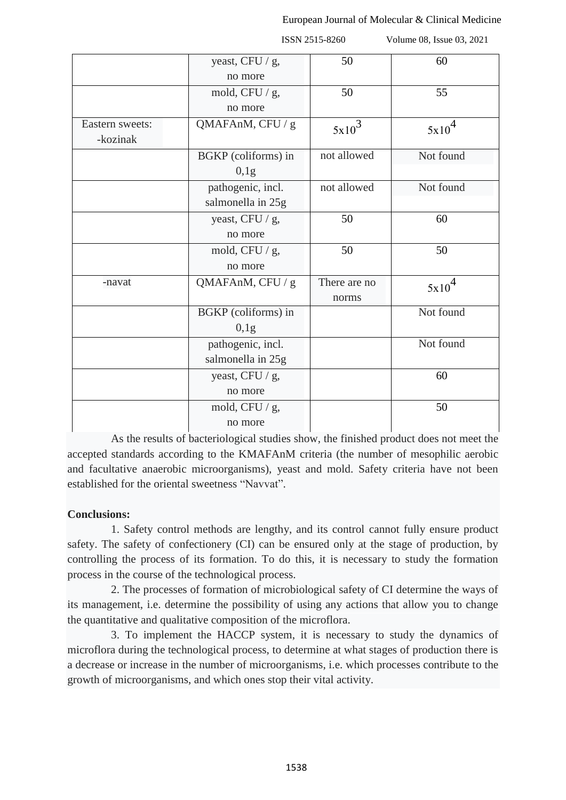|                             |                                        | ISSN 2515-8260        | Volume 08, Issue 03, 2021 |  |
|-----------------------------|----------------------------------------|-----------------------|---------------------------|--|
|                             | yeast, CFU / g,<br>no more             | 50                    | 60                        |  |
|                             | mold, CFU $/$ g,<br>no more            | 50                    | 55                        |  |
| Eastern sweets:<br>-kozinak | QMAFAnM, CFU / g                       | $5x10^3$              | 5x10 <sup>4</sup>         |  |
|                             | BGKP (coliforms) in<br>0,1g            | not allowed           | Not found                 |  |
|                             | pathogenic, incl.<br>salmonella in 25g | not allowed           | Not found                 |  |
|                             | yeast, CFU / g,<br>no more             | 50                    | 60                        |  |
|                             | mold, CFU $/$ g,<br>no more            | 50                    | 50                        |  |
| -navat                      | QMAFAnM, CFU / g                       | There are no<br>norms | 5x10 <sup>4</sup>         |  |
|                             | BGKP (coliforms) in<br>0,1g            |                       | Not found                 |  |
|                             | pathogenic, incl.<br>salmonella in 25g |                       | Not found                 |  |
|                             | yeast, CFU / g,<br>no more             |                       | 60                        |  |
|                             | mold, CFU $/$ g,<br>no more            |                       | 50                        |  |

As the results of bacteriological studies show, the finished product does not meet the accepted standards according to the KMAFAnM criteria (the number of mesophilic aerobic and facultative anaerobic microorganisms), yeast and mold. Safety criteria have not been established for the oriental sweetness "Navvat".

### **Conclusions:**

1. Safety control methods are lengthy, and its control cannot fully ensure product safety. The safety of confectionery (CI) can be ensured only at the stage of production, by controlling the process of its formation. To do this, it is necessary to study the formation process in the course of the technological process.

2. The processes of formation of microbiological safety of CI determine the ways of its management, i.e. determine the possibility of using any actions that allow you to change the quantitative and qualitative composition of the microflora.

3. To implement the HACCP system, it is necessary to study the dynamics of microflora during the technological process, to determine at what stages of production there is a decrease or increase in the number of microorganisms, i.e. which processes contribute to the growth of microorganisms, and which ones stop their vital activity.